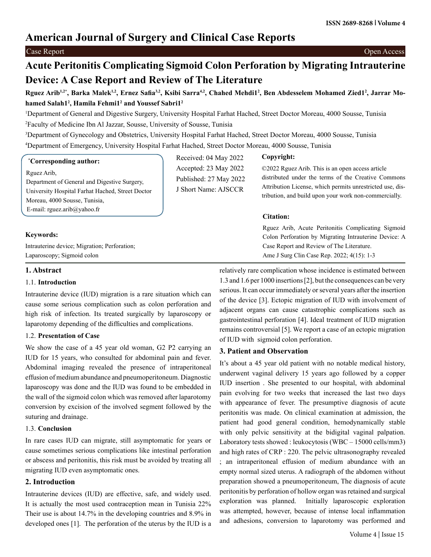# **American Journal of Surgery and Clinical Case Reports**

## Case Report Open Access

# **Acute Peritonitis Complicating Sigmoid Colon Perforation by Migrating Intrauterine Device: A Case Report and Review of The Literature**

# Rguez Arib<sup>1,2</sup>\*, Barka Malek<sup>1,2</sup>, Ernez Safia<sup>3,2</sup>, Ksibi Sarra<sup>4,2</sup>, Chahed Mehdi1<sup>2</sup>, Ben Abdesselem Mohamed Zied1<sup>2</sup>, Jarrar Mo**hamed Salah12 , Hamila Fehmi12 and Youssef Sabri12**

1 Department of General and Digestive Surgery, University Hospital Farhat Hached, Street Doctor Moreau, 4000 Sousse, Tunisia 2 Faculty of Medicine Ibn Al Jazzar, Sousse, University of Sousse, Tunisia

3 Department of Gynecology and Obstetrics, University Hospital Farhat Hached, Street Doctor Moreau, 4000 Sousse, Tunisia 4 Department of Emergency, University Hospital Farhat Hached, Street Doctor Moreau, 4000 Sousse, Tunisia

#### **\* Corresponding author:**

Rguez Arib,

Department of General and Digestive Surgery, University Hospital Farhat Hached, Street Doctor Moreau, 4000 Sousse, Tunisia, E-mail: rguez.arib@yahoo.fr

#### **Keywords:**

Intrauterine device; Migration; Perforation; Laparoscopy; Sigmoid colon

## **1. Abstract**

#### 1.1. **Introduction**

Intrauterine device (IUD) migration is a rare situation which can cause some serious complication such as colon perforation and high risk of infection. Its treated surgically by laparoscopy or laparotomy depending of the difficulties and complications.

## 1.2. **Presentation of Case**

We show the case of a 45 year old woman, G2 P2 carrying an IUD for 15 years, who consulted for abdominal pain and fever. Abdominal imaging revealed the presence of intraperitoneal effusion of medium abundance and pneumoperitoneum. Diagnostic laparoscopy was done and the IUD was found to be embedded in the wall of the sigmoid colon which was removed after laparotomy conversion by excision of the involved segment followed by the suturing and drainage.

### 1.3. **Conclusion**

In rare cases IUD can migrate, still asymptomatic for years or cause sometimes serious complications like intestinal perforation or abscess and peritonitis, this risk must be avoided by treating all migrating IUD even asymptomatic ones.

# **2. Introduction**

Intrauterine devices (IUD) are effective, safe, and widely used. It is actually the most used contraception mean in Tunisia 22% Their use is about 14.7% in the developing countries and 8.9% in developed ones [1]. The perforation of the uterus by the IUD is a

Received: 04 May 2022 Accepted: 23 May 2022 Published: 27 May 2022 J Short Name: AJSCCR

## **Copyright:**

©2022 Rguez Arib. This is an open access article distributed under the terms of the Creative Commons Attribution License, which permits unrestricted use, distribution, and build upon your work non-commercially.

## **Citation:**

Rguez Arib, Acute Peritonitis Complicating Sigmoid Colon Perforation by Migrating Intrauterine Device: A Case Report and Review of The Literature. Ame J Surg Clin Case Rep. 2022; 4(15): 1-3

relatively rare complication whose incidence is estimated between 1.3 and 1.6 per 1000 insertions [2], but the consequences can be very serious. It can occur immediately or several years after the insertion of the device [3]. Ectopic migration of IUD with involvement of adjacent organs can cause catastrophic complications such as gastrointestinal perforation [4]. Ideal treatment of IUD migration remains controversial [5]. We report a case of an ectopic migration of IUD with sigmoid colon perforation.

# **3. Patient and Observation**

It's about a 45 year old patient with no notable medical history, underwent vaginal delivery 15 years ago followed by a copper IUD insertion . She presented to our hospital, with abdominal pain evolving for two weeks that increased the last two days with appearance of fever. The presumptive diagnosis of acute peritonitis was made. On clinical examination at admission, the patient had good general condition, hemodynamically stable with only pelvic sensitivity at the bidigital vaginal palpation. Laboratory tests showed : leukocytosis (WBC – 15000 cells/mm3) and high rates of CRP : 220. The pelvic ultrasonography revealed ; an intraperitoneal effusion of medium abundance with an empty normal sized uterus. A radiograph of the abdomen without preparation showed a pneumoperitoneum, The diagnosis of acute peritonitis by perforation of hollow organ was retained and surgical exploration was planned. Initially laparoscopic exploration was attempted, however, because of intense local inflammation and adhesions, conversion to laparotomy was performed and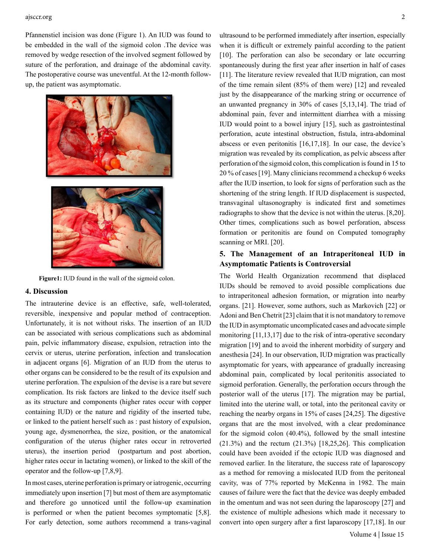#### ajsccr.org 2

Pfannenstiel incision was done (Figure 1). An IUD was found to be embedded in the wall of the sigmoid colon .The device was removed by wedge resection of the involved segment followed by suture of the perforation, and drainage of the abdominal cavity. The postoperative course was uneventful. At the 12-month followup, the patient was asymptomatic.



**Figure1:** IUD found in the wall of the sigmoid colon.

#### **4. Discussion**

The intrauterine device is an effective, safe, well-tolerated, reversible, inexpensive and popular method of contraception. Unfortunately, it is not without risks. The insertion of an IUD can be associated with serious complications such as abdominal pain, pelvic inflammatory disease, expulsion, retraction into the cervix or uterus, uterine perforation, infection and translocation in adjacent organs [6]. Migration of an IUD from the uterus to other organs can be considered to be the result of its expulsion and uterine perforation. The expulsion of the devise is a rare but severe complication. Its risk factors are linked to the device itself such as its structure and components (higher rates occur with copper containing IUD) or the nature and rigidity of the inserted tube, or linked to the patient herself such as : past history of expulsion, young age, dysmenorrhea, the size, position, or the anatomical configuration of the uterus (higher rates occur in retroverted uterus), the insertion period (postpartum and post abortion, higher rates occur in lactating women), or linked to the skill of the operator and the follow-up [7,8,9].

In most cases, uterine perforation is primary or iatrogenic, occurring immediately upon insertion [7] but most of them are asymptomatic and therefore go unnoticed until the follow-up examination is performed or when the patient becomes symptomatic [5,8]. For early detection, some authors recommend a trans-vaginal

ultrasound to be performed immediately after insertion, especially when it is difficult or extremely painful according to the patient [10]. The perforation can also be secondary or late occurring spontaneously during the first year after insertion in half of cases [11]. The literature review revealed that IUD migration, can most of the time remain silent (85% of them were) [12] and revealed just by the disappearance of the marking string or occurrence of an unwanted pregnancy in 30% of cases [5,13,14]. The triad of abdominal pain, fever and intermittent diarrhea with a missing IUD would point to a bowel injury [15], such as gastrointestinal perforation, acute intestinal obstruction, fistula, intra-abdominal abscess or even peritonitis [16,17,18]. In our case, the device's migration was revealed by its complication, as pelvic abscess after perforation of the sigmoid colon, this complication is found in 15 to 20 % of cases [19]. Many clinicians recommend a checkup 6 weeks after the IUD insertion, to look for signs of perforation such as the shortening of the string length. If IUD displacement is suspected, transvaginal ultasonography is indicated first and sometimes radiographs to show that the device is not within the uterus. [8,20]. Other times, complications such as bowel perforation, abscess formation or peritonitis are found on Computed tomography scanning or MRI. [20].

## **5. The Management of an Intraperitoneal IUD in Asymptomatic Patients is Controversial**

The World Health Organization recommend that displaced IUDs should be removed to avoid possible complications due to intraperitoneal adhesion formation, or migration into nearby organs. [21]. However, some authors, such as Markovich [22] or Adoni and Ben Chetrit [23] claim that it is not mandatory to remove the IUD in asymptomatic uncomplicated cases and advocate simple monitoring [11,13,17] due to the risk of intra-operative secondary migration [19] and to avoid the inherent morbidity of surgery and anesthesia [24]. In our observation, IUD migration was practically asymptomatic for years, with appearance of gradually increasing abdominal pain, complicated by local peritonitis associated to sigmoid perforation. Generally, the perforation occurs through the posterior wall of the uterus [17]. The migration may be partial, limited into the uterine wall, or total, into the peritoneal cavity or reaching the nearby organs in 15% of cases [24,25]. The digestive organs that are the most involved, with a clear predominance for the sigmoid colon (40.4%), followed by the small intestine  $(21.3\%)$  and the rectum  $(21.3\%)$  [18,25,26]. This complication could have been avoided if the ectopic IUD was diagnosed and removed earlier. In the literature, the success rate of laparoscopy as a method for removing a mislocated IUD from the peritoneal cavity, was of 77% reported by McKenna in 1982. The main causes of failure were the fact that the device was deeply embaded in the omentum and was not seen during the laparoscopy [27] and the existence of multiple adhesions which made it necessary to convert into open surgery after a first laparoscopy [17,18]. In our